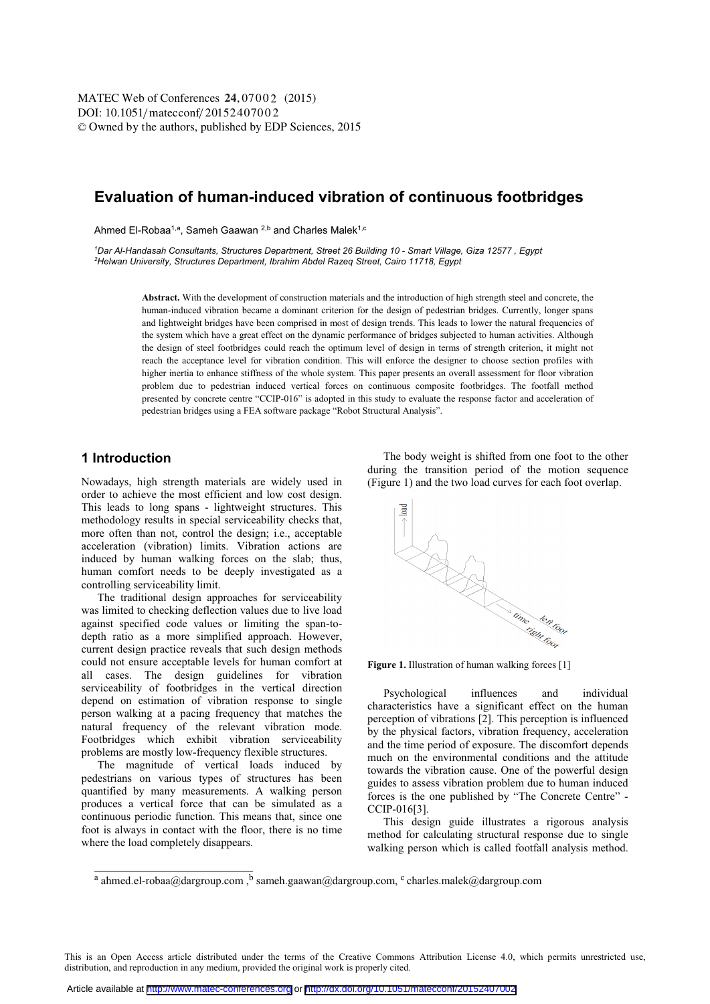DOI: 10.1051/matecconf/20152407002 -<sup>C</sup> Owned by the authors, published by EDP Sciences, 2015 MATEC Web of Conferences 24,07002 (2015)

# **Evaluation of human-induced vibration of continuous footbridges**

Ahmed El-Robaa<sup>1,a</sup>, Sameh Gaawan <sup>2,b</sup> and Charles Malek<sup>1,c</sup>

*1 Dar Al-Handasah Consultants, Structures Department, Street 26 Building 10 - Smart Village, Giza 12577 , Egypt 2 Helwan University, Structures Department, Ibrahim Abdel Razeq Street, Cairo 11718, Egypt* 

> **Abstract.** With the development of construction materials and the introduction of high strength steel and concrete, the human-induced vibration became a dominant criterion for the design of pedestrian bridges. Currently, longer spans and lightweight bridges have been comprised in most of design trends. This leads to lower the natural frequencies of the system which have a great effect on the dynamic performance of bridges subjected to human activities. Although the design of steel footbridges could reach the optimum level of design in terms of strength criterion, it might not reach the acceptance level for vibration condition. This will enforce the designer to choose section profiles with higher inertia to enhance stiffness of the whole system. This paper presents an overall assessment for floor vibration problem due to pedestrian induced vertical forces on continuous composite footbridges. The footfall method presented by concrete centre "CCIP-016" is adopted in this study to evaluate the response factor and acceleration of pedestrian bridges using a FEA software package "Robot Structural Analysis".

### **1 Introduction**

Nowadays, high strength materials are widely used in order to achieve the most efficient and low cost design. This leads to long spans - lightweight structures. This methodology results in special serviceability checks that, more often than not, control the design; i.e., acceptable acceleration (vibration) limits. Vibration actions are induced by human walking forces on the slab; thus, human comfort needs to be deeply investigated as a controlling serviceability limit.

The traditional design approaches for serviceability was limited to checking deflection values due to live load against specified code values or limiting the span-todepth ratio as a more simplified approach. However, current design practice reveals that such design methods could not ensure acceptable levels for human comfort at all cases. The design guidelines for vibration serviceability of footbridges in the vertical direction depend on estimation of vibration response to single person walking at a pacing frequency that matches the natural frequency of the relevant vibration mode. Footbridges which exhibit vibration serviceability problems are mostly low-frequency flexible structures.

The magnitude of vertical loads induced by pedestrians on various types of structures has been quantified by many measurements. A walking person produces a vertical force that can be simulated as a continuous periodic function. This means that, since one foot is always in contact with the floor, there is no time where the load completely disappears.

The body weight is shifted from one foot to the other during the transition period of the motion sequence (Figure 1) and the two load curves for each foot overlap.



Psychological influences and individual characteristics have a significant effect on the human perception of vibrations [2]. This perception is influenced by the physical factors, vibration frequency, acceleration and the time period of exposure. The discomfort depends much on the environmental conditions and the attitude towards the vibration cause. One of the powerful design guides to assess vibration problem due to human induced forces is the one published by "The Concrete Centre" - CCIP-016[3].

This design guide illustrates a rigorous analysis method for calculating structural response due to single walking person which is called footfall analysis method.

This is an Open Access article distributed under the terms of the Creative Commons Attribution License 4.0, which permits unrestricted use, distribution, and reproduction in any medium, provided the original work is properly cited.

<sup>&</sup>lt;sup>a</sup> ahmed.el-robaa@dargroup.com,  $\frac{b}{b}$  sameh.gaawan@dargroup.com, <sup>c</sup> charles.malek@dargroup.com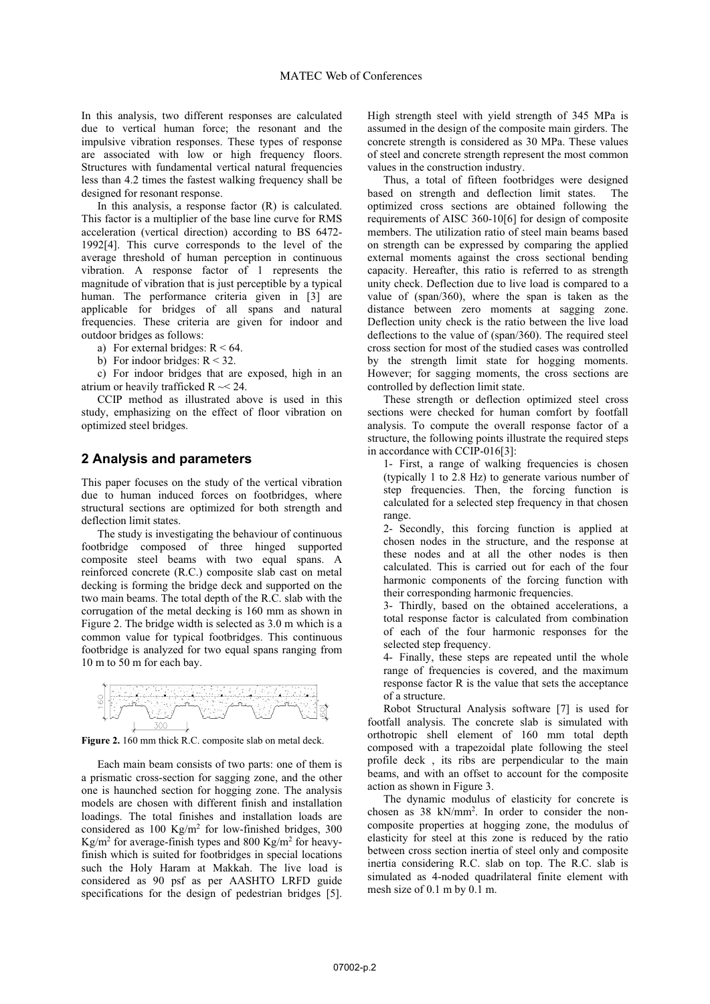In this analysis, two different responses are calculated due to vertical human force; the resonant and the impulsive vibration responses. These types of response are associated with low or high frequency floors. Structures with fundamental vertical natural frequencies less than 4.2 times the fastest walking frequency shall be designed for resonant response.

In this analysis, a response factor  $(R)$  is calculated. This factor is a multiplier of the base line curve for RMS acceleration (vertical direction) according to BS 6472- 1992[4]. This curve corresponds to the level of the average threshold of human perception in continuous vibration. A response factor of 1 represents the magnitude of vibration that is just perceptible by a typical human. The performance criteria given in [3] are applicable for bridges of all spans and natural frequencies. These criteria are given for indoor and outdoor bridges as follows:

- a) For external bridges:  $R < 64$ .
- b) For indoor bridges:  $R < 32$ .

c) For indoor bridges that are exposed, high in an atrium or heavily trafficked  $R \sim 24$ .

CCIP method as illustrated above is used in this study, emphasizing on the effect of floor vibration on optimized steel bridges.

#### **2 Analysis and parameters**

This paper focuses on the study of the vertical vibration due to human induced forces on footbridges, where structural sections are optimized for both strength and deflection limit states.

The study is investigating the behaviour of continuous footbridge composed of three hinged supported composite steel beams with two equal spans. A reinforced concrete (R.C.) composite slab cast on metal decking is forming the bridge deck and supported on the two main beams. The total depth of the R.C. slab with the corrugation of the metal decking is 160 mm as shown in Figure 2. The bridge width is selected as 3.0 m which is a common value for typical footbridges. This continuous footbridge is analyzed for two equal spans ranging from 10 m to 50 m for each bay.



Figure 2. 160 mm thick R.C. composite slab on metal deck.

Each main beam consists of two parts: one of them is a prismatic cross-section for sagging zone, and the other one is haunched section for hogging zone. The analysis models are chosen with different finish and installation loadings. The total finishes and installation loads are considered as 100 Kg/m2 for low-finished bridges, 300  $\text{Kg/m}^2$  for average-finish types and 800  $\text{Kg/m}^2$  for heavyfinish which is suited for footbridges in special locations such the Holy Haram at Makkah. The live load is considered as 90 psf as per AASHTO LRFD guide specifications for the design of pedestrian bridges [5].

High strength steel with yield strength of 345 MPa is assumed in the design of the composite main girders. The concrete strength is considered as 30 MPa. These values of steel and concrete strength represent the most common values in the construction industry.

Thus, a total of fifteen footbridges were designed based on strength and deflection limit states. The optimized cross sections are obtained following the requirements of AISC 360-10[6] for design of composite members. The utilization ratio of steel main beams based on strength can be expressed by comparing the applied external moments against the cross sectional bending capacity. Hereafter, this ratio is referred to as strength unity check. Deflection due to live load is compared to a value of (span/360), where the span is taken as the distance between zero moments at sagging zone. Deflection unity check is the ratio between the live load deflections to the value of (span/360). The required steel cross section for most of the studied cases was controlled by the strength limit state for hogging moments. However; for sagging moments, the cross sections are controlled by deflection limit state.

These strength or deflection optimized steel cross sections were checked for human comfort by footfall analysis. To compute the overall response factor of a structure, the following points illustrate the required steps in accordance with CCIP-016[3]:

1- First, a range of walking frequencies is chosen (typically 1 to 2.8 Hz) to generate various number of step frequencies. Then, the forcing function is calculated for a selected step frequency in that chosen range.

2- Secondly, this forcing function is applied at chosen nodes in the structure, and the response at these nodes and at all the other nodes is then calculated. This is carried out for each of the four harmonic components of the forcing function with their corresponding harmonic frequencies.

3- Thirdly, based on the obtained accelerations, a total response factor is calculated from combination of each of the four harmonic responses for the selected step frequency.

4- Finally, these steps are repeated until the whole range of frequencies is covered, and the maximum response factor R is the value that sets the acceptance of a structure.

Robot Structural Analysis software [7] is used for footfall analysis. The concrete slab is simulated with orthotropic shell element of 160 mm total depth composed with a trapezoidal plate following the steel profile deck , its ribs are perpendicular to the main beams, and with an offset to account for the composite action as shown in Figure 3.

The dynamic modulus of elasticity for concrete is chosen as 38 kN/mm2 . In order to consider the noncomposite properties at hogging zone, the modulus of elasticity for steel at this zone is reduced by the ratio between cross section inertia of steel only and composite inertia considering R.C. slab on top. The R.C. slab is simulated as 4-noded quadrilateral finite element with mesh size of 0.1 m by 0.1 m.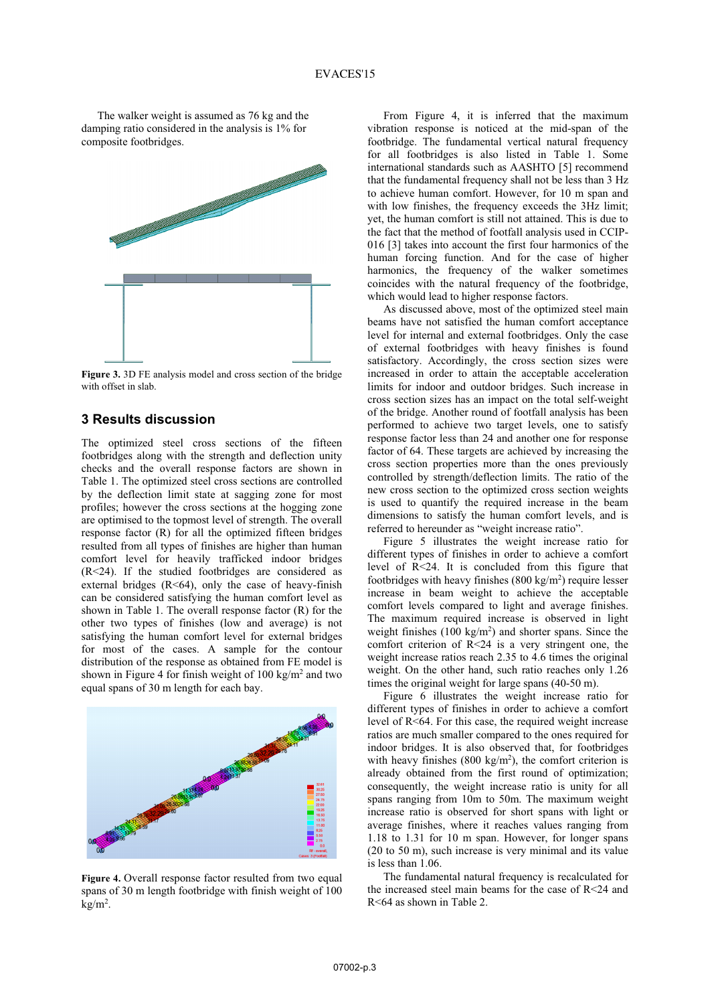The walker weight is assumed as 76 kg and the damping ratio considered in the analysis is 1% for composite footbridges.



**Figure 3.** 3D FE analysis model and cross section of the bridge with offset in slab.

### **3 Results discussion**

The optimized steel cross sections of the fifteen footbridges along with the strength and deflection unity checks and the overall response factors are shown in Table 1. The optimized steel cross sections are controlled by the deflection limit state at sagging zone for most profiles; however the cross sections at the hogging zone are optimised to the topmost level of strength. The overall response factor (R) for all the optimized fifteen bridges resulted from all types of finishes are higher than human comfort level for heavily trafficked indoor bridges (R<24). If the studied footbridges are considered as external bridges  $(R<64)$ , only the case of heavy-finish can be considered satisfying the human comfort level as shown in Table 1. The overall response factor (R) for the other two types of finishes (low and average) is not satisfying the human comfort level for external bridges for most of the cases. A sample for the contour distribution of the response as obtained from FE model is shown in Figure 4 for finish weight of  $100 \text{ kg/m}^2$  and two equal spans of 30 m length for each bay.



Figure 4. Overall response factor resulted from two equal spans of 30 m length footbridge with finish weight of 100 kg/m2 .

From Figure 4, it is inferred that the maximum vibration response is noticed at the mid-span of the footbridge. The fundamental vertical natural frequency for all footbridges is also listed in Table 1. Some international standards such as AASHTO [5] recommend that the fundamental frequency shall not be less than 3 Hz to achieve human comfort. However, for 10 m span and with low finishes, the frequency exceeds the 3Hz limit; yet, the human comfort is still not attained. This is due to the fact that the method of footfall analysis used in CCIP-016 [3] takes into account the first four harmonics of the human forcing function. And for the case of higher harmonics, the frequency of the walker sometimes coincides with the natural frequency of the footbridge, which would lead to higher response factors.

As discussed above, most of the optimized steel main beams have not satisfied the human comfort acceptance level for internal and external footbridges. Only the case of external footbridges with heavy finishes is found satisfactory. Accordingly, the cross section sizes were increased in order to attain the acceptable acceleration limits for indoor and outdoor bridges. Such increase in cross section sizes has an impact on the total self-weight of the bridge. Another round of footfall analysis has been performed to achieve two target levels, one to satisfy response factor less than 24 and another one for response factor of 64. These targets are achieved by increasing the cross section properties more than the ones previously controlled by strength/deflection limits. The ratio of the new cross section to the optimized cross section weights is used to quantify the required increase in the beam dimensions to satisfy the human comfort levels, and is referred to hereunder as "weight increase ratio".

Figure 5 illustrates the weight increase ratio for different types of finishes in order to achieve a comfort level of R<24. It is concluded from this figure that footbridges with heavy finishes  $(800 \text{ kg/m}^2)$  require lesser increase in beam weight to achieve the acceptable comfort levels compared to light and average finishes. The maximum required increase is observed in light weight finishes  $(100 \text{ kg/m}^2)$  and shorter spans. Since the comfort criterion of  $R < 24$  is a very stringent one, the weight increase ratios reach 2.35 to 4.6 times the original weight. On the other hand, such ratio reaches only 1.26 times the original weight for large spans (40-50 m).

Figure 6 illustrates the weight increase ratio for different types of finishes in order to achieve a comfort level of R<64. For this case, the required weight increase ratios are much smaller compared to the ones required for indoor bridges. It is also observed that, for footbridges with heavy finishes  $(800 \text{ kg/m}^2)$ , the comfort criterion is already obtained from the first round of optimization; consequently, the weight increase ratio is unity for all spans ranging from 10m to 50m. The maximum weight increase ratio is observed for short spans with light or average finishes, where it reaches values ranging from 1.18 to 1.31 for 10 m span. However, for longer spans (20 to 50 m), such increase is very minimal and its value is less than 1.06.

The fundamental natural frequency is recalculated for the increased steel main beams for the case of R<24 and R<64 as shown in Table 2.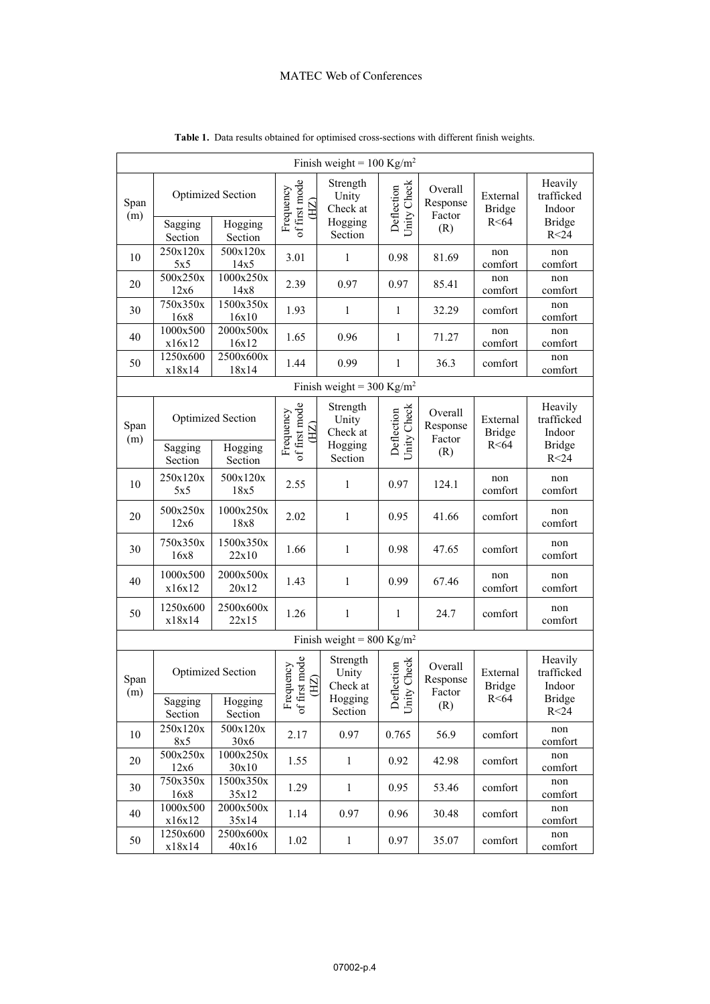|                                       |                                                                      |                     |                                    | Finish weight = $100 \text{ Kg/m}^2$                |                                   |                                      |                                     |                                                                     |  |  |
|---------------------------------------|----------------------------------------------------------------------|---------------------|------------------------------------|-----------------------------------------------------|-----------------------------------|--------------------------------------|-------------------------------------|---------------------------------------------------------------------|--|--|
| Span<br>(m)                           | <b>Optimized Section</b><br>Hogging<br>Sagging<br>Section<br>Section |                     | of first mode<br>Frequency<br>(HZ) | Strength<br>Unity<br>Check at<br>Hogging<br>Section | Unity Check<br>Deflection         | Overall<br>Response<br>Factor<br>(R) | External<br><b>Bridge</b><br>R < 64 | Heavily<br>trafficked<br>Indoor<br><b>Bridge</b><br>R <sub>24</sub> |  |  |
| 10                                    | 250x120x<br>5x5                                                      | 500x120x<br>14x5    | 3.01                               | 1                                                   | 0.98                              | 81.69                                | non<br>comfort                      | non<br>comfort                                                      |  |  |
| 20                                    | 500x250x<br>12x6                                                     | 1000x250x<br>14x8   | 2.39                               | 0.97                                                | 0.97                              | 85.41                                | non<br>comfort                      | non<br>comfort                                                      |  |  |
| 30                                    | 750x350x<br>16x8                                                     | 1500x350x<br>16x10  | 1.93                               | $\mathbf{1}$                                        | 1                                 | 32.29                                | comfort                             | non<br>comfort                                                      |  |  |
| 40                                    | 1000x500<br>x16x12                                                   | 2000x500x<br>16x12  | 1.65                               | 0.96                                                | 1                                 | 71.27                                | non<br>comfort                      | non<br>comfort                                                      |  |  |
| 50                                    | 1250x600<br>x18x14                                                   | 2500x600x<br>18x14  | 1.44                               | 0.99                                                | $\mathbf{1}$                      | 36.3                                 | comfort                             | non<br>comfort                                                      |  |  |
| Finish weight = 300 Kg/m <sup>2</sup> |                                                                      |                     |                                    |                                                     |                                   |                                      |                                     |                                                                     |  |  |
| Span<br>(m)                           | <b>Optimized Section</b><br>Sagging<br>Hogging                       |                     | of first mode<br>Frequency<br>(HZ) | Strength<br>Unity<br>Check at<br>Hogging            | Check<br>Deflection<br>Unity      | Overall<br>Response<br>Factor<br>(R) | External<br><b>Bridge</b><br>R < 64 | Heavily<br>trafficked<br>Indoor<br><b>Bridge</b>                    |  |  |
|                                       | Section                                                              | Section             |                                    | Section                                             |                                   |                                      |                                     | R <sub>24</sub>                                                     |  |  |
| 10                                    | 250x120x<br>5x5                                                      | 500x120x<br>18x5    | 2.55                               | $\mathbf{1}$                                        | 0.97                              | 124.1                                | non<br>comfort                      | non<br>comfort                                                      |  |  |
| 20                                    | 500x250x<br>12x6                                                     | 1000x250x<br>18x8   | 2.02                               | $\mathbf{1}$                                        | 0.95                              | 41.66                                | comfort                             | non<br>comfort                                                      |  |  |
| 30                                    | 750x350x<br>16x8                                                     | 1500x350x<br>22x10  | 1.66                               | $\mathbf{1}$                                        | 0.98                              | 47.65                                | comfort                             | non<br>comfort                                                      |  |  |
| 40                                    | 1000x500<br>x16x12                                                   | 2000x500x<br>20x12  | 1.43                               | $\mathbf{1}$                                        | 0.99                              | 67.46                                | non<br>comfort                      | non<br>comfort                                                      |  |  |
| 50                                    | 1250x600<br>x18x14                                                   | 2500x600x<br>22x15  | 1.26                               | $\mathbf{1}$                                        | $\mathbf{1}$                      | 24.7                                 | comfort                             | non<br>comfort                                                      |  |  |
|                                       |                                                                      |                     |                                    | Finish weight = $800 \text{ Kg/m}^2$                |                                   |                                      |                                     |                                                                     |  |  |
| Span<br>(m)                           | <b>Optimized Section</b><br>Hogging<br>Sagging                       |                     | Frequency<br>of first mode<br>(EI) | Strength<br>Unity<br>Check at<br>Hogging            | Check<br>action<br>Defle<br>Unity | Overall<br>Response<br>Factor        | External<br><b>Bridge</b><br>R < 64 | Heavily<br>trafficked<br>Indoor<br><b>Bridge</b>                    |  |  |
|                                       | Section<br>250x120x                                                  | Section<br>500x120x |                                    | Section                                             |                                   | (R)                                  |                                     | R<24<br>non                                                         |  |  |
| 10                                    | 8x5                                                                  | 30x6                | 2.17                               | 0.97                                                | 0.765                             | 56.9                                 | comfort                             | comfort                                                             |  |  |
| 20                                    | 500x250x<br>12x6                                                     | 1000x250x<br>30x10  | 1.55                               | $\mathbf{1}$                                        | 0.92                              | 42.98                                | comfort                             | non<br>comfort                                                      |  |  |
| 30                                    | 750x350x<br>16x8                                                     | 1500x350x<br>35x12  | 1.29                               | $\mathbf{1}$                                        | 0.95                              | 53.46                                | comfort                             | non<br>comfort                                                      |  |  |
| 40                                    | 1000x500<br>x16x12                                                   | 2000x500x<br>35x14  | 1.14                               | 0.97                                                | 0.96                              | 30.48                                | comfort                             | non<br>comfort                                                      |  |  |
| 50                                    | 1250x600<br>x18x14                                                   | 2500x600x<br>40x16  | 1.02                               | $\mathbf{1}$                                        | 0.97                              | 35.07                                | comfort                             | non<br>comfort                                                      |  |  |

**Table 1.** Data results obtained for optimised cross-sections with different finish weights.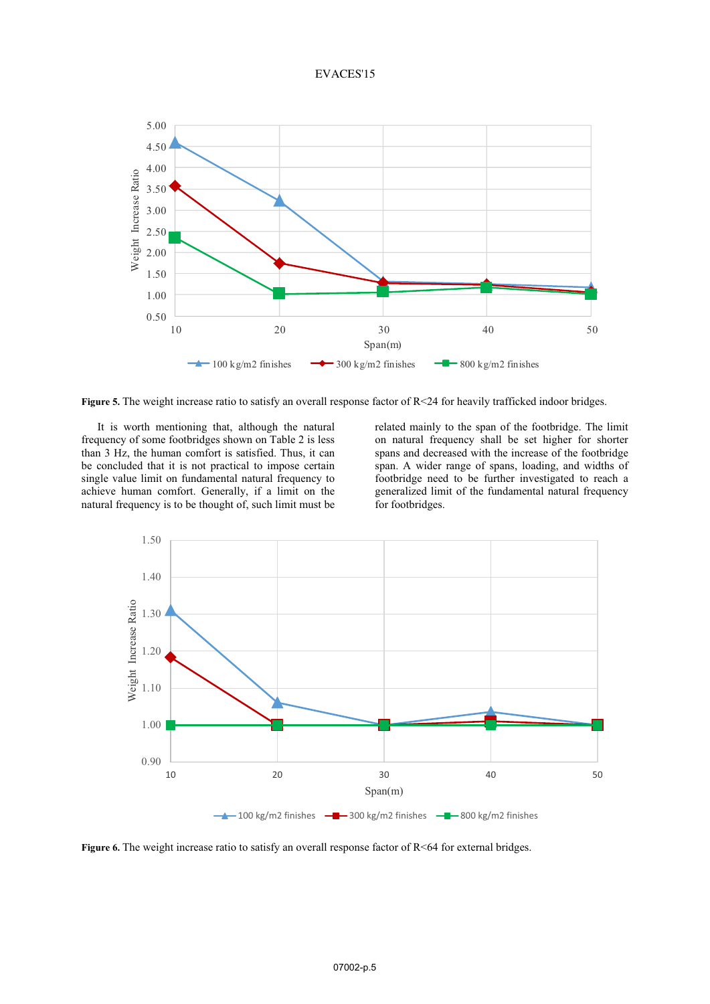#### EVACES'15



**Figure 5.** The weight increase ratio to satisfy an overall response factor of  $R \le 24$  for heavily trafficked indoor bridges.

It is worth mentioning that, although the natural frequency of some footbridges shown on Table 2 is less than 3 Hz, the human comfort is satisfied. Thus, it can be concluded that it is not practical to impose certain single value limit on fundamental natural frequency to achieve human comfort. Generally, if a limit on the natural frequency is to be thought of, such limit must be related mainly to the span of the footbridge. The limit on natural frequency shall be set higher for shorter spans and decreased with the increase of the footbridge span. A wider range of spans, loading, and widths of footbridge need to be further investigated to reach a generalized limit of the fundamental natural frequency for footbridges.



**Figure 6.** The weight increase ratio to satisfy an overall response factor of R<64 for external bridges.